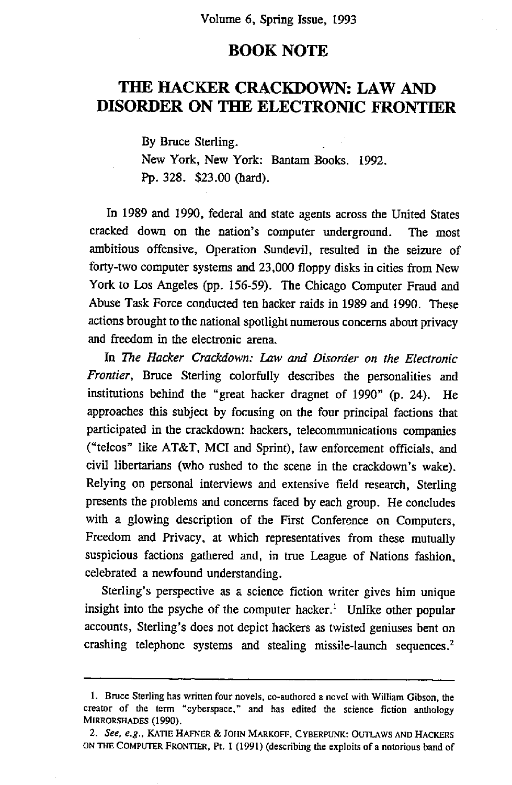## **BOOK NOTE**

## **THE HACKER CRACKDOWN: LAW AND DISORDER ON THE ELECTRONIC FRONTIER**

By Bruce Sterling. New York, New York: Bantam Books. 1992. Pp. 328. \$23.00 (hard).

In 1989 and 1990, federal and state agents across the United States cracked down on the nation's computer underground. The most ambitious offensive, Operation Sundevil, resulted in the seizure of forty-two computer systems and 23,000 floppy disks in cities from New York to Los Angeles (pp. 156-59). The Chicago Computer Fraud and Abuse Task Force conducted ten hacker raids in 1989 and 1990. These actions brought to the national spotlight numerous concerns about privacy and freedom in the electronic arena.

In The *Hacker Crackdown: Law and Disorder on the Electronic Frontier,* Bruce Sterling colorfully describes the personalities and institutions behind the "great hacker dragnet of 1990" (p. 24). He approaches this subject by focusing on the four principal factions that participated in the crackdown: hackers, telecommunications companies ("telcos" like AT&T, MCI and Sprint), law enforcement officials, and civil libertarians (who rushed to the scene in the crackdown's wake). Relying on personal interviews and extensive field research, Sterling presents the problems and concerns faced by each group. He concludes with a glowing description of the First Conference on Computers, Freedom and Privacy, at which representatives from these mutually suspicious factions gathered and, in true League of Nations fashion, celebrated a newfound understanding.

Sterling's perspective as a science fiction writer gives him unique insight into the psyche of the computer hacker.<sup>1</sup> Unlike other popular accounts, Sterling's does not depict hackers as twisted geniuses bent on crashing telephone systems and stealing missile-launch sequences. 2

<sup>1.</sup> Bruce Sterling has written four novels, co-authored a novel with William Gibson, the creator of the term "cyberspace," and has edited the science fiction anthology MIRRORSHADES (1990).

*<sup>2.</sup> See, e.g.,* KATIE HAFNER & JOHN MARKOFF, CYBERPUNK: OUTLAWS AND HACKERS ON THE COMPUTER FRONTIER, Pt. I (1991) (describing the exploits of a notorious band of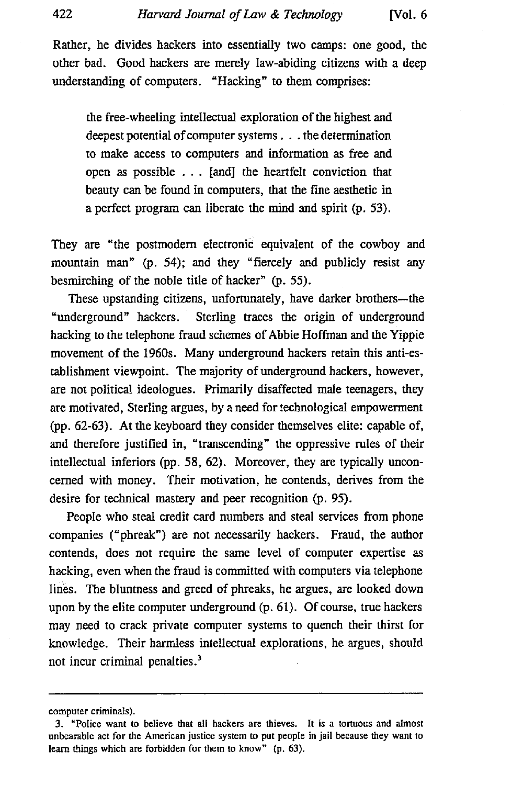Rather, he divides hackers into essentially two camps: one good, the other bad. Good hackers are merely law-abiding citizens with a deep understanding of computers. "Hacking" to them comprises:

the free-wheeling intellectual exploration of the highest and deepest potential of computer systems.., the determination to make access to computers and information as free and open as possible . . . [and] the heartfelt conviction that beauty can be found in computers, that the fine aesthetic in a perfect program can liberate the mind and spirit (p. 53).

They are "the postmodern electronic equivalent of the cowboy and mountain man" (p. 54); and they "fiercely and publicly resist any besmirching of the noble title of hacker" (p. 55).

These upstanding citizens, unfortunately, have darker brothers--the "underground" hackers. Sterling traces the origin of underground hacking to the telephone fraud schemes of Abbie Hoffman and the Yippie movement of the 1960s. Many underground hackers retain this anti-establishment viewpoint. The majority of underground hackers, however, are not political ideologues. Primarily disaffected male teenagers, they are motivated, Sterling argues, by a need for technological empowerment (pp. 62-63). At the keyboard they consider themselves elite: capable of, and therefore justified in, "transcending" the oppressive rules of their intellectual inferiors (pp. 58, 62). Moreover, they are typically unconcerned with money. Their motivation, he contends, derives from the desire for technical mastery and peer recognition (p. 95).

People who steal credit card numbers and steal services from phone companies ("phreak') are not necessarily hackers. Fraud, the author contends, does not require the same level of computer expertise as hacking, even when the fraud is committed with computers via telephone lines. The bluntness and greed of phreaks, he argues, are looked down upon by the elite computer underground (p. 61). Of course, true hackers may need to crack private computer systems to quench their thirst for knowledge. Their harmless intellectual explorations, he argues, should not incur criminal penalties.<sup>3</sup>

computer criminals).

<sup>3. &</sup>quot;Police want to believe that all hackers are thieves. It is a tortuous and almost unbearable act for the American justice system to put people in jail because they want to learn things which are forbidden for them to know" (p. 63).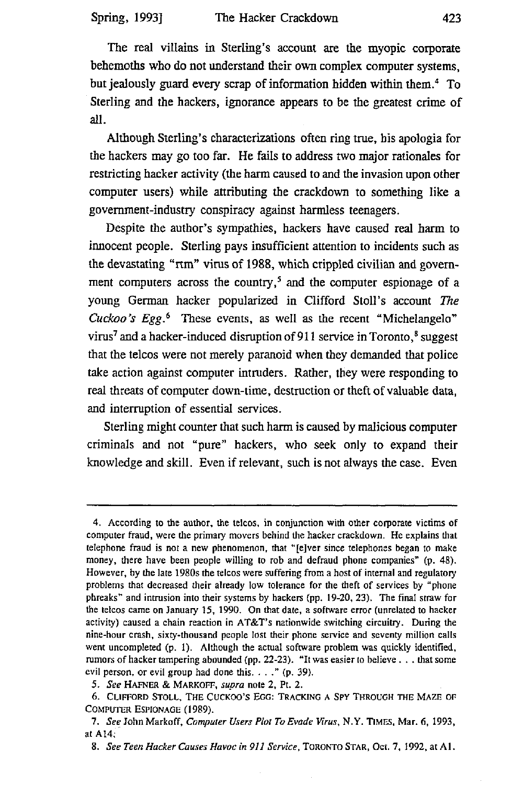The real villains in Sterling's account are the myopic corporate behemoths who do not understand their own complex computer systems, but jealously guard every scrap of information hidden within them. 4 To Sterling and the hackers, ignorance appears to be the greatest crime of all.

Although Sterling's characterizations often ring true, his apologia for the hackers may go too far. He fails to address two major rationales for restricting hacker activity (the harm caused to and the invasion upon other computer users) while attributing the crackdown to something like a government-industry conspiracy against harmless teenagers.

Despite the author's sympathies, hackers have caused real harm to innocent people. Sterling pays insufficient attention to incidents such as the devastating "rtm" virus of 1988, which crippled civilian and government computers across the country,<sup>5</sup> and the computer espionage of a young German hacker popularized in Clifford Stoll's account The *Cuckoo's Egg.*<sup>6</sup> These events, as well as the recent "Michelangelo" virus<sup>7</sup> and a hacker-induced disruption of 911 service in Toronto, $^8$  suggest that the telcos were not merely paranoid when they demanded that police take action against computer intruders. Rather, they were responding to real threats of computer down-time, destruction or theft of valuable data, and interruption of essential services.

Sterling might counter that such harm is caused by malicious computer criminals and not "pure" hackers, who seek only to expand their knowledge and skill. Even if relevant, such is not always the case. Even

<sup>4.</sup> According to the author, the telcos, in conjunction with other corporate victims of computer fraud, were the primary movers behind the hacker crackdown. He explains that telephone fraud is not a new phenomenon, that "[e]ver since telephones began to make money, there have been people willing to rob and defraud phone companies" (p. 48). However, by the late 1980s the telcos were suffering from a host of internal and regulatory problems that decreased their already low tolerance for the theft of services by "phone phreaks" and intrusion into their systems by hackers (pp. 19-20, 23). The final straw for the telcos came on January 15, 1990. On that date, a software error (unrelated to hacker activity) caused a chain reaction in AT&T's nationwide switching circuitry. During the nine-hour crash, sixty-thousand people lost their phone service and seventy million calls went uncompleted (p. 1). Although the actual software problem was quickly identified, rumors of hacker tampering abounded (pp. 22-23). "It was easier to believe.., that some evil person, or evil group had done this...." (p. 39).

*<sup>5.</sup> See* HAFNER & MARKOFF, *supra* note 2, Pt. 2.

<sup>6.</sup> CLIFFORD STOLL, THE CUCKOO'S EGG: TRACKING A SPY THROUGH THE MAZE OF COMPUTER ESPIONAGE (1989).

*<sup>7.</sup> See* John Markoff, *Computer Users Plot To Evade Virus,* N.Y. TIMES, Mar. 6, 1993, at A14;

*<sup>8.</sup> See Teen Hacker Causes Havoc in 911 Service,* TORONTO STAR, OCt. 7, 1992, at At.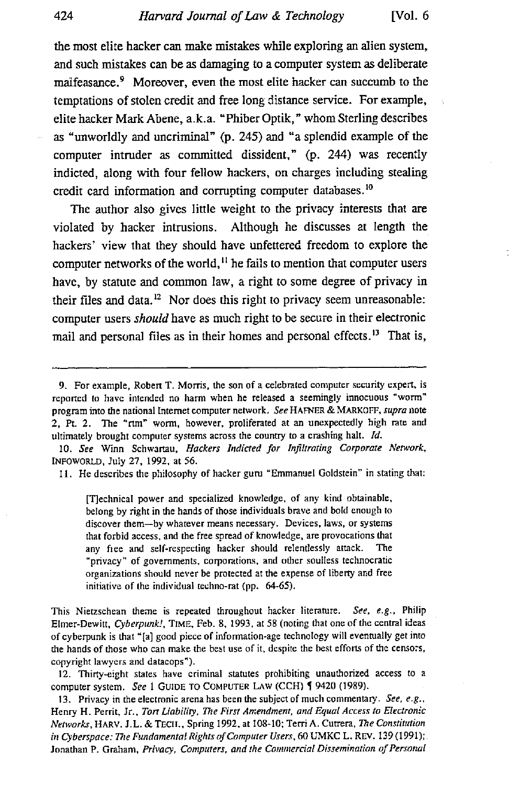**the most elite hacker can make mistakes while exploring an alien system, and such mistakes can be as damaging to a computer system as deliberate**  malfeasance.<sup>9</sup> Moreover, even the most elite hacker can succumb to the temptations of stolen credit and free long distance service. For example, **elite hacker Mark Abene, a.k.a. "Phiber Optik," whom Sterling describes as "unworldly and uncriminal" (p. 245) and "a splendid example of the computer intruder as committed dissident," (p. 244) was recently indicted, along with four fellow hackers, on charges including stealing credit card information and corrupting computer databases. 1°** 

**The author also gives little weight to the privacy interests that are violated by hacker intrusions. Although he discusses at length the hackers' view that they should have unfettered freedom to explore the computer networks of the world, H he fails to mention that computer users have, by statute and common law, a right to some degree of privacy in their files and data. 12 Nor does this right to privacy seem unreasonable: computer users** *should* **have as much right to be secure in their electronic mail and personal files as in their homes and personal effects.13 That is,** 

10. See Winn Schwartau, *Hackers Indicted for Infiltrating Corporate Network*, INFOWORLD, July 27, 1992, at 56.

11. He describes the philosophy of hacker guru "Emmanuel Goldstein" in stating that:

[T]echnical power and specialized knowledge, of any kind obtainable, belong by right in the hands of those individuals brave and bold enough to discover them--by whatever means necessary. Devices, laws, or systems that forbid access, and the free spread of knowledge, are provocations that any free and self-respecting hacker should relentlessly attack. The "privacy" of governments, corporations, and other soulless technocratic organizations should never be protected at the expense of liberty and free initiative of the individual techno-rat (pp. 64-65).

This Nietzschean theme is repeated throughout hacker literature. *See, e.g.,* Philip Elmer-Dewitt, *Cyberpunk!*, TIME, Feb. 8, 1993, at 58 (noting that one of the central ideas of cyberpunk is that "[a] good piece of information-age technology will eventually get into the hands of those who can make the best use of it, despite the best efforts of the censors, copyright lawyers and datacops").

12. Thirty-eight states have criminal statutes prohibiting unauthorized access to a computer system. *See* 1 GUIDE TO COMPUTER LAW (CCH) ¶ 9420 (1989).

13. Privacy in the electronic arena has been the subject of much commentary. *See, e.g.,*  Henry H. Perrit, Jr., *Tort Liability, The First Amendment, and Equal Access to Electronic Networks,* HARV. J.L. & TECIt., Spring 1992, at 108-10; Terri A. Cutrera, The *Constitution in Cyberspace: The Fundamental Rights of Computer Users, 60 UMKC L. REV. 139 (1991);* Jonathan P. Graham, Privacy, Computers, and the Commercial Dissemination of Personal

<sup>9.</sup> For example, Robert T. Morris, the son of a celebrated computer security expert, is reported to have intended no harm when he released a seemingly innocuous "worm" program into the national Internet computer network. *See* HAFNER & MARKOFF, *supra* note 2, Pt. 2. The "rtm" worm, however, proliferated at an unexpectedly high rate and ultimately brought computer systems across the country to a crashing halt. *Id.*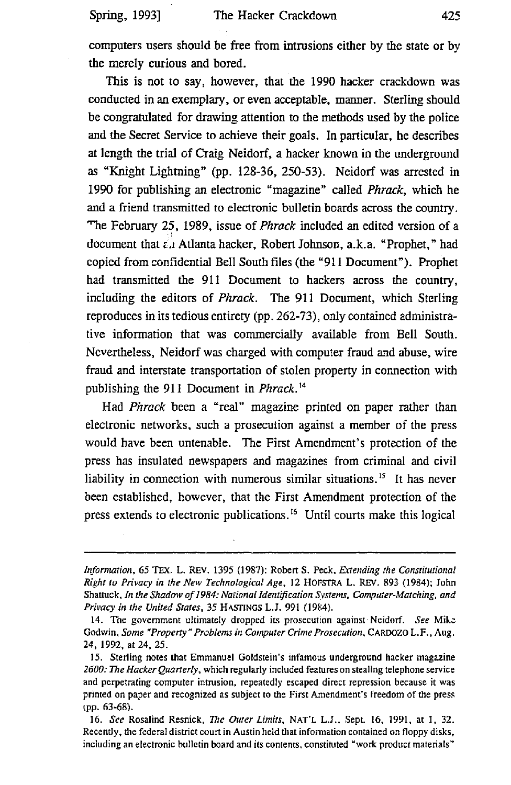computers users should be free from intrusions either by the state or by the merely curious and bored.

This is not to say, however, that the 1990 hacker crackdown was conducted in an exemplary, or even acceptable, manner. Sterling should be congratulated for drawing attention to the methods used by the police and the Secret Service to achieve their goals. In particular, he describes at length the trial of Craig Neidorf, a hacker known in the underground as "Knight Lightning" (pp. 128-36, 250-53). Neidorf was arrested in 1990 for publishing an electronic "magazine" called *Phrack,* which he and a friend transmitted to electronic bulletin boards across the country. "he February 25, 1989, issue of *Phrack* included an edited version of a document that  $\epsilon_A$  Atlanta hacker, Robert Johnson, a.k.a. "Prophet," had copied from confidential Bell South files (the "911 Document"). Prophet had transmitted the 911 Document to hackers across the country, including the editors of *Phrack.* The 911 Document, which Sterling reproduces in its tedious entirety (pp. 262-73), only contained administrative information that was commercially available from Bell South. Nevertheless, Neidorf was charged with computer fraud and abuse, wire fraud and interstate transportation of stolen property in connection with publishing the 911 Document in *Phrack. 14* 

Had *Phrack* been a "real" magazine printed on paper rather than electronic networks, such a prosecution against a member of the press would have been untenable. The First Amendment's protection of the press has insulated newspapers and magazines from criminal and civil liability in connection with numerous similar situations.<sup>15</sup> It has never been established, however, that the First Amendment protection of the press extends to electronic publications.<sup>16</sup> Until courts make this logical

*Information,* 65 TEX. L. REV. 1395 (1987): Robert S. Peck, *Extending the Constitutional Right to Privacy in the New Technological Age,* 12 HOFSTRA L. REV. 893 (1984); John Shattuck, *In the Shadow of 1984: National Identification Systems, Compater-Matching, and Privacy in the United States, 35 HASTINGS L.J. 991 (1984).* 

<sup>14.</sup> The government ultimately dropped its prosecution against Neidorf. *See* Mike Godwin, *Some "Property" Problems in Computer Crime Prosecution,* CARDOZO L.F., Aug. 24, 1992, at 24, 25.

<sup>15.</sup> Sterling notes that Emmanuel Goldstein's infamous underground hacker magazine *2600: 771e Hacker Quarterly,* which regularly included features on stealing telephone service and perpetrating computer intrusion, repeatedly escaped direct repression because it was printed on paper and recognized as subject to the First Amendment's freedom of the press tpp. 63-68).

<sup>16.</sup> *See* Rosalind Resnick, The *Outer Limits,* NAT'L L.J., Sept. 16, 1991, at I, 32. Recently, the federal district court in Austin held that information contained on floppy disks, including an electronic bulletin board and its contents, constituted "work product materials"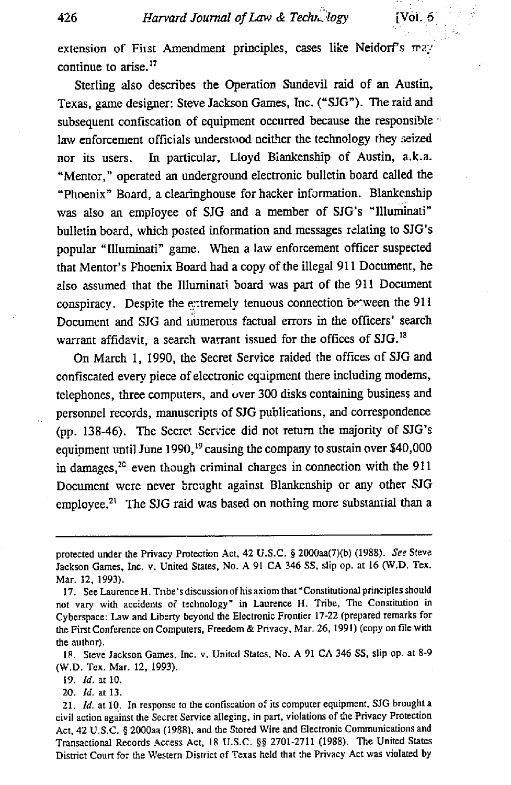extension of First Amendment principles, cases like Neidorf's may continue to arise.<sup>17</sup>

Sterling also describes the Operation Sundevil raid of an Austin, Texas, game designer: Steve Jackson Games, Inc. ("SJG"). The raid and subsequent confiscation of equipment occurred because the responsible  $\phi$ law enforcement officials understood neither the technology they seized nor its users. In particular, Lloyd Biankenship of Austin, a.k.a. "Mentor," operated an underground electronic bulletin board called the "Phoenix" Board, a clearinghouse for hacker information. Blankenship was also an employee of SJG and a member of SJG's "Illuminati" bulletin board, which posted information and messages relating to SJG's popular "Illuminati" game. When a law enforcement officer suspected that Mentor's Phoenix Board had a copy of the illegal 911 Document, he zlso assumed that the Illuminati. board was part of the 911 Document conspiracy. Despite the extremely tenuous connection between the 911 Document and SJG and uumerous factual errors in the officers' search warrant affidavit, a search warrant issued for the offices of SJG.<sup>18</sup>

On March 1, 1990, the Secret Service raided the offices of SJG and confiscated every piece of electronic equipment there including modems, telephones, three computers, and over 300 disks containing business and personnel records, manuscripts of SJG publications, and correspondence (pp. 138-46). The Secret Service did not return the majority of SJG's equipment until June 1990,<sup>19</sup> causing the company to sustain over \$40,000 in damages, $2c$  even though criminal charges in connection with the 911 Document were never brought against Blankenship or any other SJG employee.<sup>21</sup> The SJG raid was based on nothing more substantial than a

18. Steve Jackson Games, Inc. v. United States, No. A 91 CA 346 SS, slip op. at 8-9 (W.D. Tex. Mar. 12, 1993).

I9. *Id.* at 10.

20. *Id.* at 13.

protected under the Privacy Protection Act, 42 U.S.C. § 2000aa(7)(b) (1988). *See* Steve Jackson Games, Inc. v. United States, No. A 91 CA 346 SS, slip op. at 16 (W.D. Tex. Mar. 12, 1993).

<sup>17.</sup> See Laurence H. Tribe's discussion of his axiom that "Constitutional principles should not vary with accidents of technology" in Laurence H. Tribe, The Constitution in Cyberspace: Law and Liberty beyond the Electronic Frontier 17-22 (prepared remarks for the First Conference on Computers, Freedom & Privacy, Mar. 26, 1991) (copy on file with the author).

<sup>21.</sup> *ld.* at 10. In response to the confiscation of its computer equipment, SJG brought a civil action against the Secret Service alleging, in part. violations of the Privacy Protection Act, 42 U.S.C. § 2000aa (1988), and the Stored Wire and Electronic Communications and Transactional Records Access Act, 18 U.S.C. §§ 2701-2711 (1988). The United States District Court for the Western District ef Texas held that the Privacy Act was violated by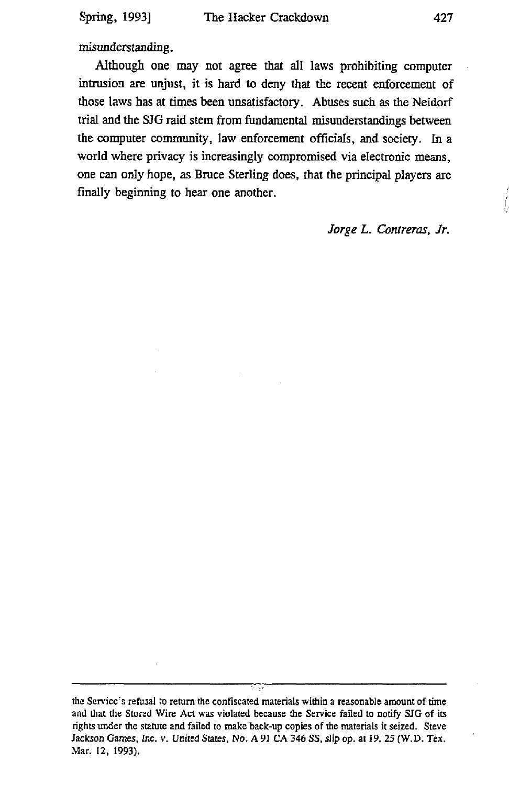misunderstanding.

Although one may not agree that all laws prohibiting computer intrusion are unjust, it is hard to deny that the recent enforcement of those laws has at times been unsatisfactory. Abuses such as the Neidorf trial and the SJG raid stem from fundamental misunderstandings between the computer community, law enforcement officials, and society. In a world where privacy is increasingly compromised via electronic means, one can only hope, as Bruce Sterling does, that the principal players are finally beginning to hear one another.

*Jorge L. Contreras, Jr.* 

the Service's refusal to return the confiscated materials within a reasonable amount of time and that the Stored Wire Act was violated because the Service failed to notify \$JG of its rights under the statute and failed to make back-up copies of the materials it seized. Steve Jackson Games, *Inc.* v. United *States, No. A 91 CA* 346 SS, slip op. at 19, 25 (W.D. *"rex.*  Mar. 12, 1993).